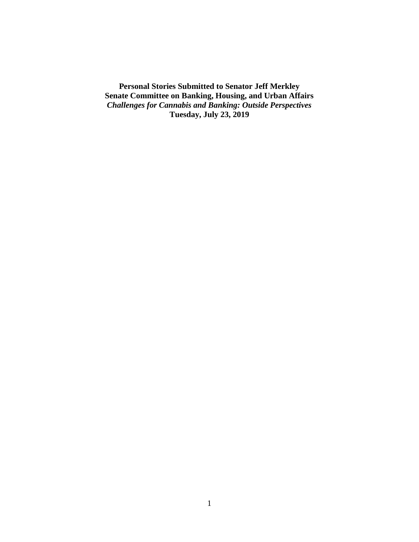**Personal Stories Submitted to Senator Jeff Merkley Senate Committee on Banking, Housing, and Urban Affairs** *Challenges for Cannabis and Banking: Outside Perspectives* **Tuesday, July 23, 2019**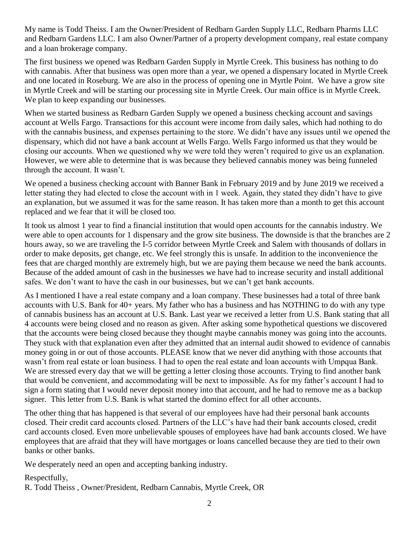My name is Todd Theiss. I am the Owner/President of Redbarn Garden Supply LLC, Redbarn Pharms LLC and Redbarn Gardens LLC. I am also Owner/Partner of a property development company, real estate company and a loan brokerage company.

The first business we opened was Redbarn Garden Supply in Myrtle Creek. This business has nothing to do with cannabis. After that business was open more than a year, we opened a dispensary located in Myrtle Creek and one located in Roseburg. We are also in the process of opening one in Myrtle Point. We have a grow site in Myrtle Creek and will be starting our processing site in Myrtle Creek. Our main office is in Myrtle Creek. We plan to keep expanding our businesses.

When we started business as Redbarn Garden Supply we opened a business checking account and savings account at Wells Fargo. Transactions for this account were income from daily sales, which had nothing to do with the cannabis business, and expenses pertaining to the store. We didn't have any issues until we opened the dispensary, which did not have a bank account at Wells Fargo. Wells Fargo informed us that they would be closing our accounts. When we questioned why we were told they weren't required to give us an explanation. However, we were able to determine that is was because they believed cannabis money was being funneled through the account. It wasn't.

We opened a business checking account with Banner Bank in February 2019 and by June 2019 we received a letter stating they had elected to close the account with in 1 week. Again, they stated they didn't have to give an explanation, but we assumed it was for the same reason. It has taken more than a month to get this account replaced and we fear that it will be closed too.

It took us almost 1 year to find a financial institution that would open accounts for the cannabis industry. We were able to open accounts for 1 dispensary and the grow site business. The downside is that the branches are 2 hours away, so we are traveling the I-5 corridor between Myrtle Creek and Salem with thousands of dollars in order to make deposits, get change, etc. We feel strongly this is unsafe. In addition to the inconvenience the fees that are charged monthly are extremely high, but we are paying them because we need the bank accounts. Because of the added amount of cash in the businesses we have had to increase security and install additional safes. We don't want to have the cash in our businesses, but we can't get bank accounts.

As I mentioned I have a real estate company and a loan company. These businesses had a total of three bank accounts with U.S. Bank for 40+ years. My father who has a business and has NOTHING to do with any type of cannabis business has an account at U.S. Bank. Last year we received a letter from U.S. Bank stating that all 4 accounts were being closed and no reason as given. After asking some hypothetical questions we discovered that the accounts were being closed because they thought maybe cannabis money was going into the accounts. They stuck with that explanation even after they admitted that an internal audit showed to evidence of cannabis money going in or out of those accounts. PLEASE know that we never did anything with those accounts that wasn't from real estate or loan business. I had to open the real estate and loan accounts with Umpqua Bank. We are stressed every day that we will be getting a letter closing those accounts. Trying to find another bank that would be convenient, and accommodating will be next to impossible. As for my father's account I had to sign a form stating that I would never deposit money into that account, and he had to remove me as a backup signer. This letter from U.S. Bank is what started the domino effect for all other accounts.

The other thing that has happened is that several of our employees have had their personal bank accounts closed. Their credit card accounts closed. Partners of the LLC's have had their bank accounts closed, credit card accounts closed. Even more unbelievable spouses of employees have had bank accounts closed. We have employees that are afraid that they will have mortgages or loans cancelled because they are tied to their own banks or other banks.

We desperately need an open and accepting banking industry.

Respectfully,

R. Todd Theiss , Owner/President, Redbarn Cannabis, Myrtle Creek, OR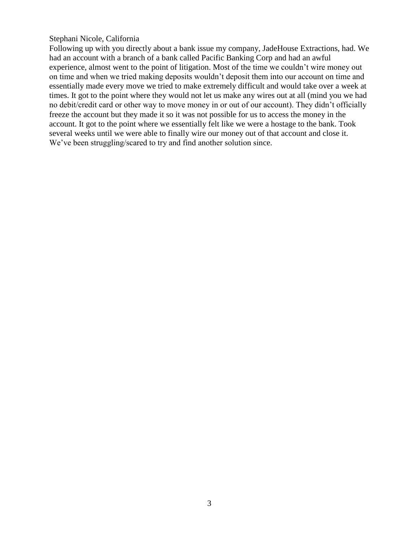#### Stephani Nicole, California

Following up with you directly about a bank issue my company, JadeHouse Extractions, had. We had an account with a branch of a bank called Pacific Banking Corp and had an awful experience, almost went to the point of litigation. Most of the time we couldn't wire money out on time and when we tried making deposits wouldn't deposit them into our account on time and essentially made every move we tried to make extremely difficult and would take over a week at times. It got to the point where they would not let us make any wires out at all (mind you we had no debit/credit card or other way to move money in or out of our account). They didn't officially freeze the account but they made it so it was not possible for us to access the money in the account. It got to the point where we essentially felt like we were a hostage to the bank. Took several weeks until we were able to finally wire our money out of that account and close it. We've been struggling/scared to try and find another solution since.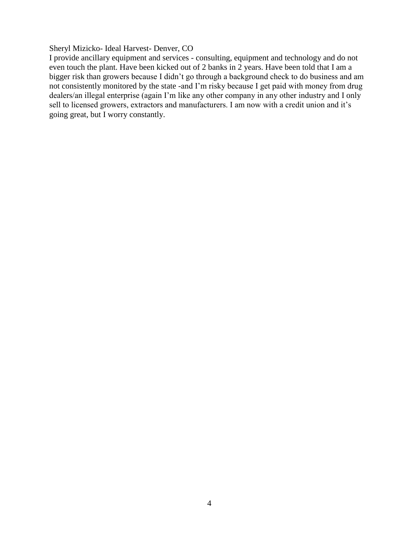## Sheryl Mizicko- Ideal Harvest- Denver, CO

I provide ancillary equipment and services - consulting, equipment and technology and do not even touch the plant. Have been kicked out of 2 banks in 2 years. Have been told that I am a bigger risk than growers because I didn't go through a background check to do business and am not consistently monitored by the state -and I'm risky because I get paid with money from drug dealers/an illegal enterprise (again I'm like any other company in any other industry and I only sell to licensed growers, extractors and manufacturers. I am now with a credit union and it's going great, but I worry constantly.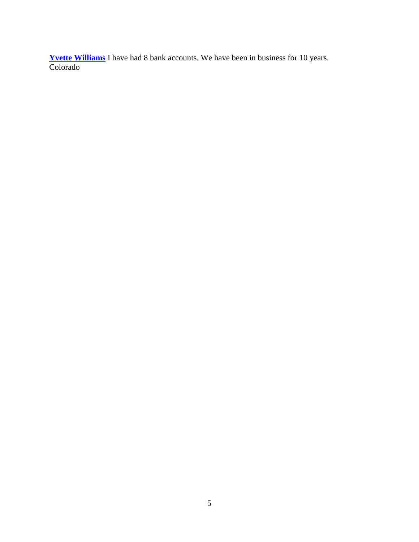**[Yvette Williams](https://www.facebook.com/yvette.williams.9469)** I have had 8 bank accounts. We have been in business for 10 years. Colorado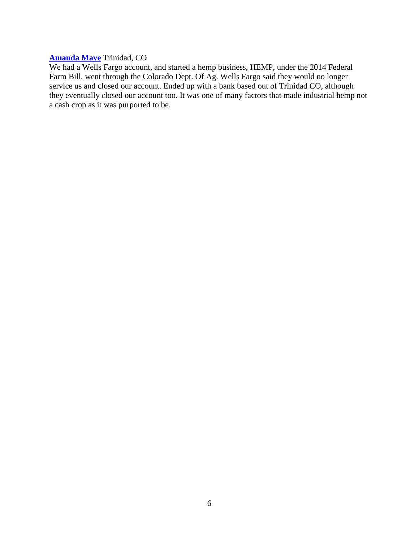## **[Amanda Maye](https://www.facebook.com/profile.php?id=100007417426920)** Trinidad, CO

We had a Wells Fargo account, and started a hemp business, HEMP, under the 2014 Federal Farm Bill, went through the Colorado Dept. Of Ag. Wells Fargo said they would no longer service us and closed our account. Ended up with a bank based out of Trinidad CO, although they eventually closed our account too. It was one of many factors that made industrial hemp not a cash crop as it was purported to be.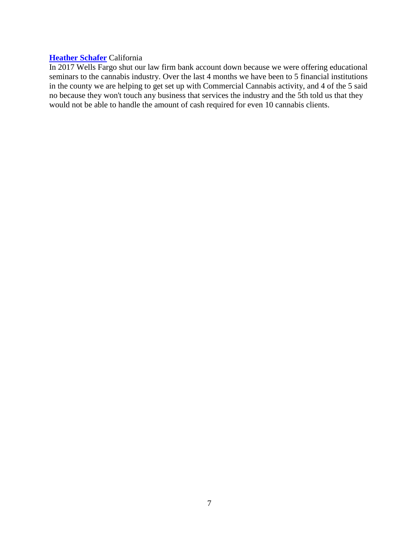## **[Heather Schafer](https://www.facebook.com/heather.schafer.35)** California

In 2017 Wells Fargo shut our law firm bank account down because we were offering educational seminars to the cannabis industry. Over the last 4 months we have been to 5 financial institutions in the county we are helping to get set up with Commercial Cannabis activity, and 4 of the 5 said no because they won't touch any business that services the industry and the 5th told us that they would not be able to handle the amount of cash required for even 10 cannabis clients.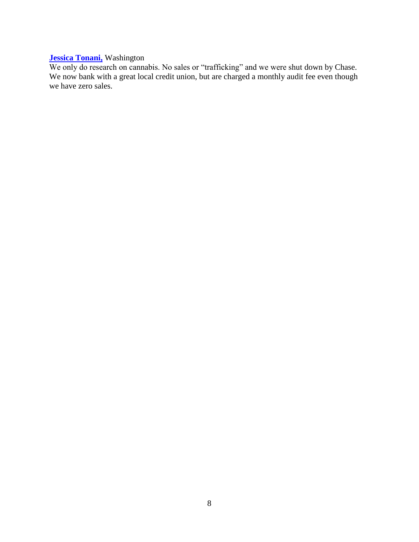# **[Jessica Tonani,](https://www.facebook.com/jessica.tonani)** Washington

We only do research on cannabis. No sales or "trafficking" and we were shut down by Chase. We now bank with a great local credit union, but are charged a monthly audit fee even though we have zero sales.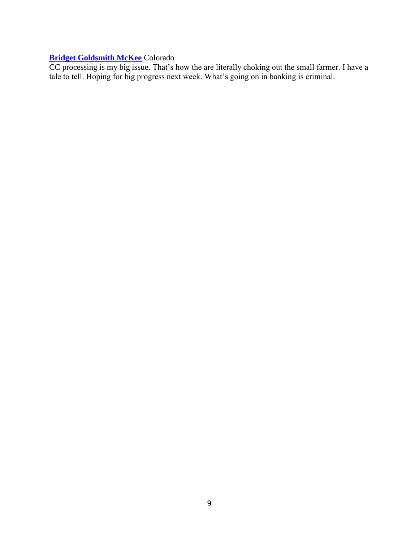# **[Bridget Goldsmith McKee](https://www.facebook.com/BRIDGETMCKEE)** Colorado

CC processing is my big issue. That's how the are literally choking out the small farmer. I have a tale to tell. Hoping for big progress next week. What's going on in banking is criminal.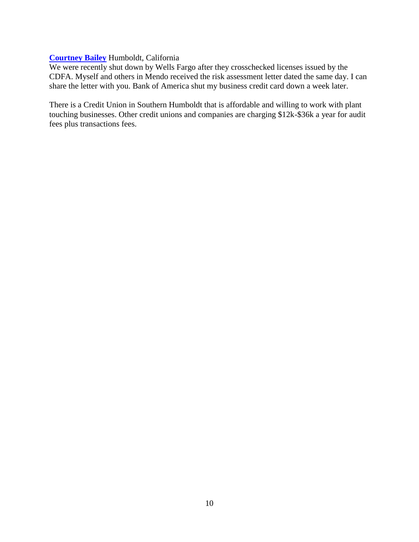## **[Courtney Bailey](https://www.facebook.com/courtney78bailey)** Humboldt, California

We were recently shut down by Wells Fargo after they crosschecked licenses issued by the CDFA. Myself and others in Mendo received the risk assessment letter dated the same day. I can share the letter with you. Bank of America shut my business credit card down a week later.

There is a Credit Union in Southern Humboldt that is affordable and willing to work with plant touching businesses. Other credit unions and companies are charging \$12k-\$36k a year for audit fees plus transactions fees.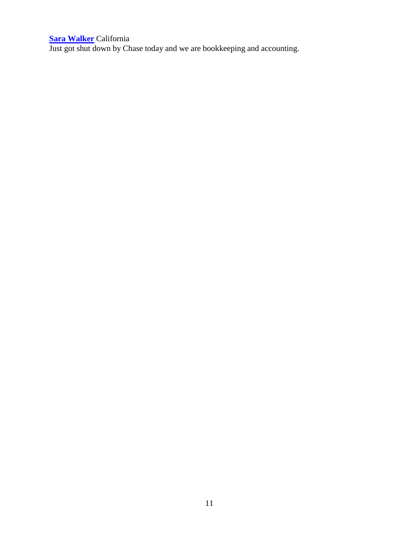#### **[Sara Walker](https://www.facebook.com/sara.walker.330)** California

Just got shut down by Chase today and we are bookkeeping and accounting.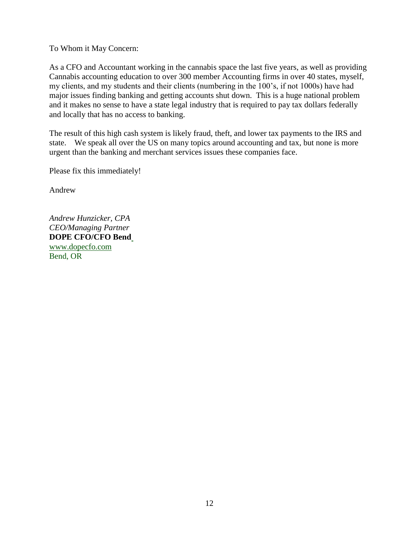To Whom it May Concern:

As a CFO and Accountant working in the cannabis space the last five years, as well as providing Cannabis accounting education to over 300 member Accounting firms in over 40 states, myself, my clients, and my students and their clients (numbering in the 100's, if not 1000s) have had major issues finding banking and getting accounts shut down. This is a huge national problem and it makes no sense to have a state legal industry that is required to pay tax dollars federally and locally that has no access to banking.

The result of this high cash system is likely fraud, theft, and lower tax payments to the IRS and state. We speak all over the US on many topics around accounting and tax, but none is more urgent than the banking and merchant services issues these companies face.

Please fix this immediately!

Andrew

*Andrew Hunzicker, CPA CEO/Managing Partner* **DOPE CFO/CFO Ben[d](http://dopecfo.com/)** [www.dopecfo.com](http://dopecfo.com/) Bend, OR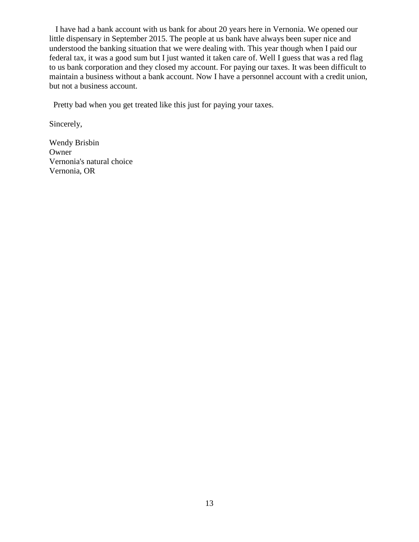I have had a bank account with us bank for about 20 years here in Vernonia. We opened our little dispensary in September 2015. The people at us bank have always been super nice and understood the banking situation that we were dealing with. This year though when I paid our federal tax, it was a good sum but I just wanted it taken care of. Well I guess that was a red flag to us bank corporation and they closed my account. For paying our taxes. It was been difficult to maintain a business without a bank account. Now I have a personnel account with a credit union, but not a business account.

Pretty bad when you get treated like this just for paying your taxes.

Sincerely,

Wendy Brisbin Owner Vernonia's natural choice Vernonia, OR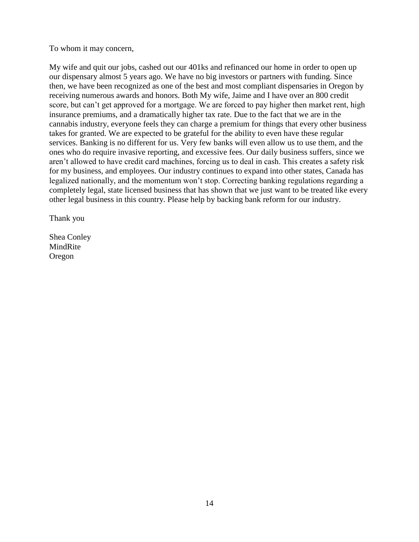To whom it may concern,

My wife and quit our jobs, cashed out our 401ks and refinanced our home in order to open up our dispensary almost 5 years ago. We have no big investors or partners with funding. Since then, we have been recognized as one of the best and most compliant dispensaries in Oregon by receiving numerous awards and honors. Both My wife, Jaime and I have over an 800 credit score, but can't get approved for a mortgage. We are forced to pay higher then market rent, high insurance premiums, and a dramatically higher tax rate. Due to the fact that we are in the cannabis industry, everyone feels they can charge a premium for things that every other business takes for granted. We are expected to be grateful for the ability to even have these regular services. Banking is no different for us. Very few banks will even allow us to use them, and the ones who do require invasive reporting, and excessive fees. Our daily business suffers, since we aren't allowed to have credit card machines, forcing us to deal in cash. This creates a safety risk for my business, and employees. Our industry continues to expand into other states, Canada has legalized nationally, and the momentum won't stop. Correcting banking regulations regarding a completely legal, state licensed business that has shown that we just want to be treated like every other legal business in this country. Please help by backing bank reform for our industry.

Thank you

Shea Conley MindRite Oregon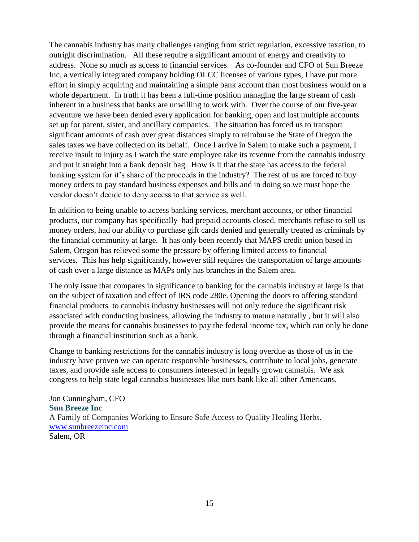The cannabis industry has many challenges ranging from strict regulation, excessive taxation, to outright discrimination. All these require a significant amount of energy and creativity to address. None so much as access to financial services. As co-founder and CFO of Sun Breeze Inc, a vertically integrated company holding OLCC licenses of various types, I have put more effort in simply acquiring and maintaining a simple bank account than most business would on a whole department. In truth it has been a full-time position managing the large stream of cash inherent in a business that banks are unwilling to work with. Over the course of our five-year adventure we have been denied every application for banking, open and lost multiple accounts set up for parent, sister, and ancillary companies. The situation has forced us to transport significant amounts of cash over great distances simply to reimburse the State of Oregon the sales taxes we have collected on its behalf. Once I arrive in Salem to make such a payment, I receive insult to injury as I watch the state employee take its revenue from the cannabis industry and put it straight into a bank deposit bag. How is it that the state has access to the federal banking system for it's share of the proceeds in the industry? The rest of us are forced to buy money orders to pay standard business expenses and bills and in doing so we must hope the vendor doesn't decide to deny access to that service as well.

In addition to being unable to access banking services, merchant accounts, or other financial products, our company has specifically had prepaid accounts closed, merchants refuse to sell us money orders, had our ability to purchase gift cards denied and generally treated as criminals by the financial community at large. It has only been recently that MAPS credit union based in Salem, Oregon has relieved some the pressure by offering limited access to financial services. This has help significantly, however still requires the transportation of large amounts of cash over a large distance as MAPs only has branches in the Salem area.

The only issue that compares in significance to banking for the cannabis industry at large is that on the subject of taxation and effect of IRS code 280e. Opening the doors to offering standard financial products to cannabis industry businesses will not only reduce the significant risk associated with conducting business, allowing the industry to mature naturally , but it will also provide the means for cannabis businesses to pay the federal income tax, which can only be done through a financial institution such as a bank.

Change to banking restrictions for the cannabis industry is long overdue as those of us in the industry have proven we can operate responsible businesses, contribute to local jobs, generate taxes, and provide safe access to consumers interested in legally grown cannabis. We ask congress to help state legal cannabis businesses like ours bank like all other Americans.

Jon Cunningham, CFO **Sun Breeze Inc** A Family of Companies Working to Ensure Safe Access to Quality Healing Herbs. [www.sunbreezeinc.com](http://www.sunbreezeinc.com/) Salem, OR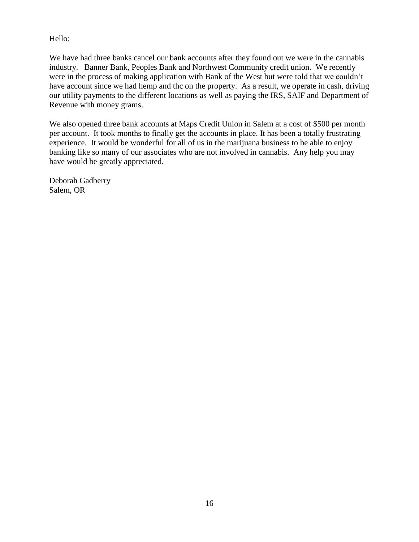Hello:

We have had three banks cancel our bank accounts after they found out we were in the cannabis industry. Banner Bank, Peoples Bank and Northwest Community credit union. We recently were in the process of making application with Bank of the West but were told that we couldn't have account since we had hemp and thc on the property. As a result, we operate in cash, driving our utility payments to the different locations as well as paying the IRS, SAIF and Department of Revenue with money grams.

We also opened three bank accounts at Maps Credit Union in Salem at a cost of \$500 per month per account. It took months to finally get the accounts in place. It has been a totally frustrating experience. It would be wonderful for all of us in the marijuana business to be able to enjoy banking like so many of our associates who are not involved in cannabis. Any help you may have would be greatly appreciated.

Deborah Gadberry Salem, OR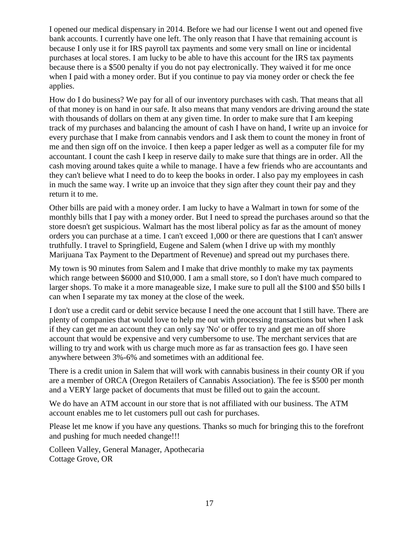I opened our medical dispensary in 2014. Before we had our license I went out and opened five bank accounts. I currently have one left. The only reason that I have that remaining account is because I only use it for IRS payroll tax payments and some very small on line or incidental purchases at local stores. I am lucky to be able to have this account for the IRS tax payments because there is a \$500 penalty if you do not pay electronically. They waived it for me once when I paid with a money order. But if you continue to pay via money order or check the fee applies.

How do I do business? We pay for all of our inventory purchases with cash. That means that all of that money is on hand in our safe. It also means that many vendors are driving around the state with thousands of dollars on them at any given time. In order to make sure that I am keeping track of my purchases and balancing the amount of cash I have on hand, I write up an invoice for every purchase that I make from cannabis vendors and I ask them to count the money in front of me and then sign off on the invoice. I then keep a paper ledger as well as a computer file for my accountant. I count the cash I keep in reserve daily to make sure that things are in order. All the cash moving around takes quite a while to manage. I have a few friends who are accountants and they can't believe what I need to do to keep the books in order. I also pay my employees in cash in much the same way. I write up an invoice that they sign after they count their pay and they return it to me.

Other bills are paid with a money order. I am lucky to have a Walmart in town for some of the monthly bills that I pay with a money order. But I need to spread the purchases around so that the store doesn't get suspicious. Walmart has the most liberal policy as far as the amount of money orders you can purchase at a time. I can't exceed 1,000 or there are questions that I can't answer truthfully. I travel to Springfield, Eugene and Salem (when I drive up with my monthly Marijuana Tax Payment to the Department of Revenue) and spread out my purchases there.

My town is 90 minutes from Salem and I make that drive monthly to make my tax payments which range between \$6000 and \$10,000. I am a small store, so I don't have much compared to larger shops. To make it a more manageable size, I make sure to pull all the \$100 and \$50 bills I can when I separate my tax money at the close of the week.

I don't use a credit card or debit service because I need the one account that I still have. There are plenty of companies that would love to help me out with processing transactions but when I ask if they can get me an account they can only say 'No' or offer to try and get me an off shore account that would be expensive and very cumbersome to use. The merchant services that are willing to try and work with us charge much more as far as transaction fees go. I have seen anywhere between 3%-6% and sometimes with an additional fee.

There is a credit union in Salem that will work with cannabis business in their county OR if you are a member of ORCA (Oregon Retailers of Cannabis Association). The fee is \$500 per month and a VERY large packet of documents that must be filled out to gain the account.

We do have an ATM account in our store that is not affiliated with our business. The ATM account enables me to let customers pull out cash for purchases.

Please let me know if you have any questions. Thanks so much for bringing this to the forefront and pushing for much needed change!!!

Colleen Valley, General Manager, Apothecaria Cottage Grove, OR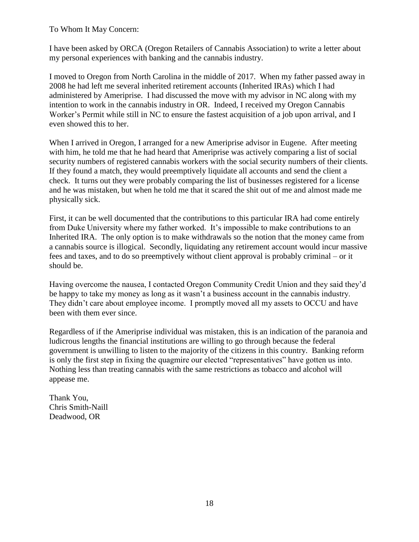To Whom It May Concern:

I have been asked by ORCA (Oregon Retailers of Cannabis Association) to write a letter about my personal experiences with banking and the cannabis industry.

I moved to Oregon from North Carolina in the middle of 2017. When my father passed away in 2008 he had left me several inherited retirement accounts (Inherited IRAs) which I had administered by Ameriprise. I had discussed the move with my advisor in NC along with my intention to work in the cannabis industry in OR. Indeed, I received my Oregon Cannabis Worker's Permit while still in NC to ensure the fastest acquisition of a job upon arrival, and I even showed this to her.

When I arrived in Oregon, I arranged for a new Ameriprise advisor in Eugene. After meeting with him, he told me that he had heard that Ameriprise was actively comparing a list of social security numbers of registered cannabis workers with the social security numbers of their clients. If they found a match, they would preemptively liquidate all accounts and send the client a check. It turns out they were probably comparing the list of businesses registered for a license and he was mistaken, but when he told me that it scared the shit out of me and almost made me physically sick.

First, it can be well documented that the contributions to this particular IRA had come entirely from Duke University where my father worked. It's impossible to make contributions to an Inherited IRA. The only option is to make withdrawals so the notion that the money came from a cannabis source is illogical. Secondly, liquidating any retirement account would incur massive fees and taxes, and to do so preemptively without client approval is probably criminal – or it should be.

Having overcome the nausea, I contacted Oregon Community Credit Union and they said they'd be happy to take my money as long as it wasn't a business account in the cannabis industry. They didn't care about employee income. I promptly moved all my assets to OCCU and have been with them ever since.

Regardless of if the Ameriprise individual was mistaken, this is an indication of the paranoia and ludicrous lengths the financial institutions are willing to go through because the federal government is unwilling to listen to the majority of the citizens in this country. Banking reform is only the first step in fixing the quagmire our elected "representatives" have gotten us into. Nothing less than treating cannabis with the same restrictions as tobacco and alcohol will appease me.

Thank You, Chris Smith-Naill Deadwood, OR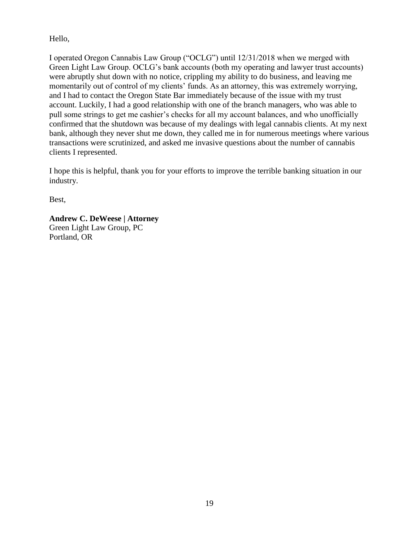Hello,

I operated Oregon Cannabis Law Group ("OCLG") until 12/31/2018 when we merged with Green Light Law Group. OCLG's bank accounts (both my operating and lawyer trust accounts) were abruptly shut down with no notice, crippling my ability to do business, and leaving me momentarily out of control of my clients' funds. As an attorney, this was extremely worrying, and I had to contact the Oregon State Bar immediately because of the issue with my trust account. Luckily, I had a good relationship with one of the branch managers, who was able to pull some strings to get me cashier's checks for all my account balances, and who unofficially confirmed that the shutdown was because of my dealings with legal cannabis clients. At my next bank, although they never shut me down, they called me in for numerous meetings where various transactions were scrutinized, and asked me invasive questions about the number of cannabis clients I represented.

I hope this is helpful, thank you for your efforts to improve the terrible banking situation in our industry.

Best,

**Andrew C. DeWeese | Attorney** Green Light Law Group, PC Portland, OR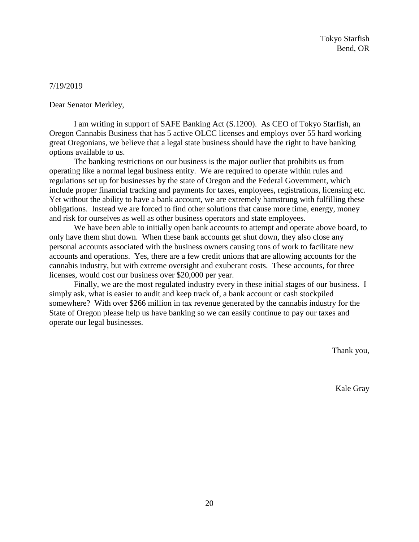#### 7/19/2019

Dear Senator Merkley,

I am writing in support of SAFE Banking Act (S.1200). As CEO of Tokyo Starfish, an Oregon Cannabis Business that has 5 active OLCC licenses and employs over 55 hard working great Oregonians, we believe that a legal state business should have the right to have banking options available to us.

The banking restrictions on our business is the major outlier that prohibits us from operating like a normal legal business entity. We are required to operate within rules and regulations set up for businesses by the state of Oregon and the Federal Government, which include proper financial tracking and payments for taxes, employees, registrations, licensing etc. Yet without the ability to have a bank account, we are extremely hamstrung with fulfilling these obligations. Instead we are forced to find other solutions that cause more time, energy, money and risk for ourselves as well as other business operators and state employees.

We have been able to initially open bank accounts to attempt and operate above board, to only have them shut down. When these bank accounts get shut down, they also close any personal accounts associated with the business owners causing tons of work to facilitate new accounts and operations. Yes, there are a few credit unions that are allowing accounts for the cannabis industry, but with extreme oversight and exuberant costs. These accounts, for three licenses, would cost our business over \$20,000 per year.

Finally, we are the most regulated industry every in these initial stages of our business. I simply ask, what is easier to audit and keep track of, a bank account or cash stockpiled somewhere? With over \$266 million in tax revenue generated by the cannabis industry for the State of Oregon please help us have banking so we can easily continue to pay our taxes and operate our legal businesses.

Thank you,

Kale Gray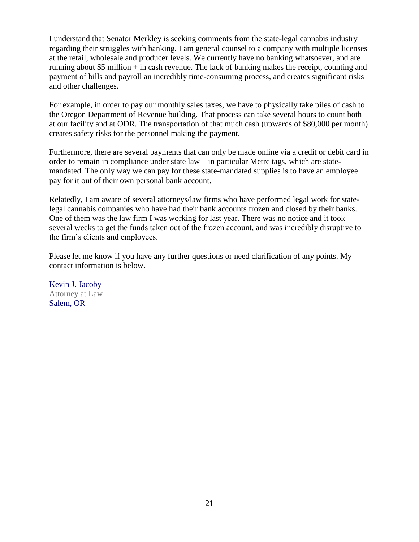I understand that Senator Merkley is seeking comments from the state-legal cannabis industry regarding their struggles with banking. I am general counsel to a company with multiple licenses at the retail, wholesale and producer levels. We currently have no banking whatsoever, and are running about \$5 million  $+$  in cash revenue. The lack of banking makes the receipt, counting and payment of bills and payroll an incredibly time-consuming process, and creates significant risks and other challenges.

For example, in order to pay our monthly sales taxes, we have to physically take piles of cash to the Oregon Department of Revenue building. That process can take several hours to count both at our facility and at ODR. The transportation of that much cash (upwards of \$80,000 per month) creates safety risks for the personnel making the payment.

Furthermore, there are several payments that can only be made online via a credit or debit card in order to remain in compliance under state law – in particular Metrc tags, which are statemandated. The only way we can pay for these state-mandated supplies is to have an employee pay for it out of their own personal bank account.

Relatedly, I am aware of several attorneys/law firms who have performed legal work for statelegal cannabis companies who have had their bank accounts frozen and closed by their banks. One of them was the law firm I was working for last year. There was no notice and it took several weeks to get the funds taken out of the frozen account, and was incredibly disruptive to the firm's clients and employees.

Please let me know if you have any further questions or need clarification of any points. My contact information is below.

Kevin J. Jacoby Attorney at Law Salem, OR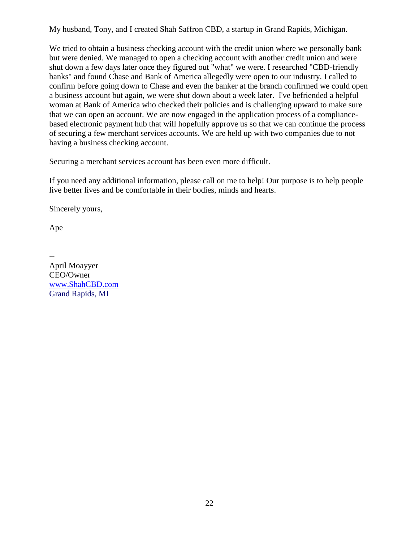My husband, Tony, and I created Shah Saffron CBD, a startup in Grand Rapids, Michigan.

We tried to obtain a business checking account with the credit union where we personally bank but were denied. We managed to open a checking account with another credit union and were shut down a few days later once they figured out "what" we were. I researched "CBD-friendly banks" and found Chase and Bank of America allegedly were open to our industry. I called to confirm before going down to Chase and even the banker at the branch confirmed we could open a business account but again, we were shut down about a week later. I've befriended a helpful woman at Bank of America who checked their policies and is challenging upward to make sure that we can open an account. We are now engaged in the application process of a compliancebased electronic payment hub that will hopefully approve us so that we can continue the process of securing a few merchant services accounts. We are held up with two companies due to not having a business checking account.

Securing a merchant services account has been even more difficult.

If you need any additional information, please call on me to help! Our purpose is to help people live better lives and be comfortable in their bodies, minds and hearts.

Sincerely yours,

Ape

-- April Moayyer CEO/Owner [www.ShahCBD.com](http://www.shahcbd.com/) Grand Rapids, MI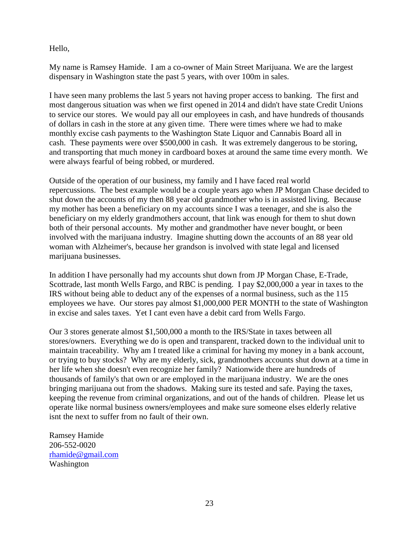Hello,

My name is Ramsey Hamide. I am a co-owner of Main Street Marijuana. We are the largest dispensary in Washington state the past 5 years, with over 100m in sales.

I have seen many problems the last 5 years not having proper access to banking. The first and most dangerous situation was when we first opened in 2014 and didn't have state Credit Unions to service our stores. We would pay all our employees in cash, and have hundreds of thousands of dollars in cash in the store at any given time. There were times where we had to make monthly excise cash payments to the Washington State Liquor and Cannabis Board all in cash. These payments were over \$500,000 in cash. It was extremely dangerous to be storing, and transporting that much money in cardboard boxes at around the same time every month. We were always fearful of being robbed, or murdered.

Outside of the operation of our business, my family and I have faced real world repercussions. The best example would be a couple years ago when JP Morgan Chase decided to shut down the accounts of my then 88 year old grandmother who is in assisted living. Because my mother has been a beneficiary on my accounts since I was a teenager, and she is also the beneficiary on my elderly grandmothers account, that link was enough for them to shut down both of their personal accounts. My mother and grandmother have never bought, or been involved with the marijuana industry. Imagine shutting down the accounts of an 88 year old woman with Alzheimer's, because her grandson is involved with state legal and licensed marijuana businesses.

In addition I have personally had my accounts shut down from JP Morgan Chase, E-Trade, Scottrade, last month Wells Fargo, and RBC is pending. I pay \$2,000,000 a year in taxes to the IRS without being able to deduct any of the expenses of a normal business, such as the 115 employees we have. Our stores pay almost \$1,000,000 PER MONTH to the state of Washington in excise and sales taxes. Yet I cant even have a debit card from Wells Fargo.

Our 3 stores generate almost \$1,500,000 a month to the IRS/State in taxes between all stores/owners. Everything we do is open and transparent, tracked down to the individual unit to maintain traceability. Why am I treated like a criminal for having my money in a bank account, or trying to buy stocks? Why are my elderly, sick, grandmothers accounts shut down at a time in her life when she doesn't even recognize her family? Nationwide there are hundreds of thousands of family's that own or are employed in the marijuana industry. We are the ones bringing marijuana out from the shadows. Making sure its tested and safe. Paying the taxes, keeping the revenue from criminal organizations, and out of the hands of children. Please let us operate like normal business owners/employees and make sure someone elses elderly relative isnt the next to suffer from no fault of their own.

Ramsey Hamide 206-552-0020 [rhamide@gmail.com](mailto:rhamide@gmail.com) Washington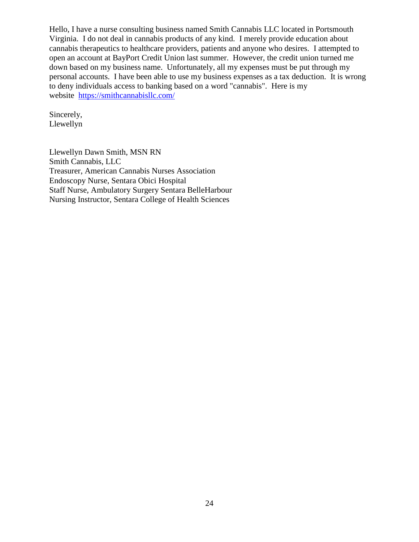Hello, I have a nurse consulting business named Smith Cannabis LLC located in Portsmouth Virginia. I do not deal in cannabis products of any kind. I merely provide education about cannabis therapeutics to healthcare providers, patients and anyone who desires. I attempted to open an account at BayPort Credit Union last summer. However, the credit union turned me down based on my business name. Unfortunately, all my expenses must be put through my personal accounts. I have been able to use my business expenses as a tax deduction. It is wrong to deny individuals access to banking based on a word "cannabis". Here is my website <https://smithcannabisllc.com/>

Sincerely, Llewellyn

Llewellyn Dawn Smith, MSN RN Smith Cannabis, LLC Treasurer, American Cannabis Nurses Association Endoscopy Nurse, Sentara Obici Hospital Staff Nurse, Ambulatory Surgery Sentara BelleHarbour Nursing Instructor, Sentara College of Health Sciences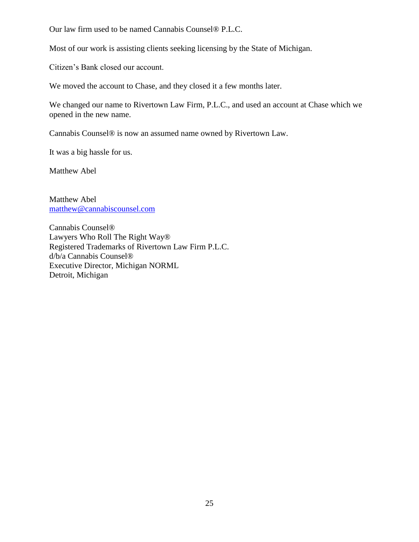Our law firm used to be named Cannabis Counsel® P.L.C.

Most of our work is assisting clients seeking licensing by the State of Michigan.

Citizen's Bank closed our account.

We moved the account to Chase, and they closed it a few months later.

We changed our name to Rivertown Law Firm, P.L.C., and used an account at Chase which we opened in the new name.

Cannabis Counsel® is now an assumed name owned by Rivertown Law.

It was a big hassle for us.

Matthew Abel

Matthew Abel [matthew@cannabiscounsel.com](mailto:matthew@cannabiscounsel.com)

Cannabis Counsel® Lawyers Who Roll The Right Way® Registered Trademarks of Rivertown Law Firm P.L.C. d/b/a Cannabis Counsel® Executive Director, Michigan NORML Detroit, Michigan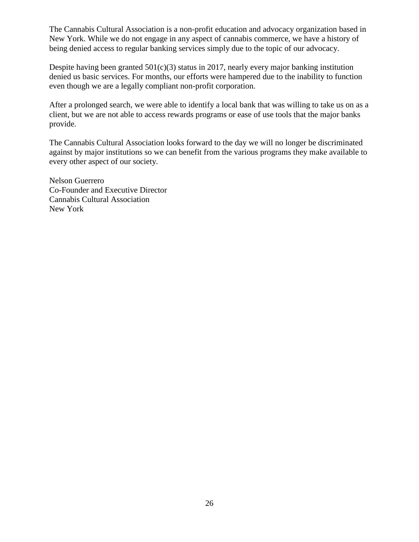The Cannabis Cultural Association is a non-profit education and advocacy organization based in New York. While we do not engage in any aspect of cannabis commerce, we have a history of being denied access to regular banking services simply due to the topic of our advocacy.

Despite having been granted  $501(c)(3)$  status in 2017, nearly every major banking institution denied us basic services. For months, our efforts were hampered due to the inability to function even though we are a legally compliant non-profit corporation.

After a prolonged search, we were able to identify a local bank that was willing to take us on as a client, but we are not able to access rewards programs or ease of use tools that the major banks provide.

The Cannabis Cultural Association looks forward to the day we will no longer be discriminated against by major institutions so we can benefit from the various programs they make available to every other aspect of our society.

Nelson Guerrero Co-Founder and Executive Director Cannabis Cultural Association New York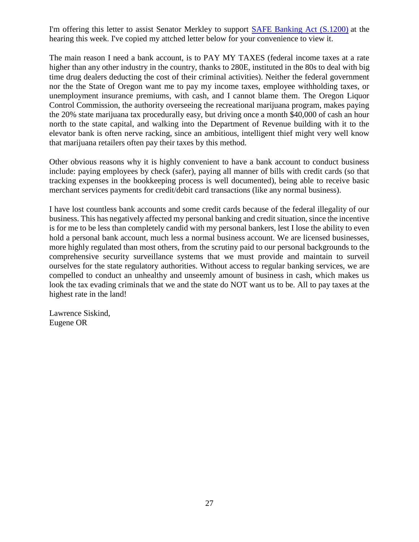I'm offering this letter to assist Senator Merkley to support [SAFE Banking Act \(S.1200\)](https://www.oregoncannabisretailers.com/EmailTracker/LinkTracker.ashx?linkAndRecipientCode=qH6kaNgFC%2fiOcaZ6aBXOF7JLBFdXCjgkZMYYFQ9ua63%2ft43ZJBZhu0%2f7ZmNfwZvCIO0VMYsIAuvS5DkJDTal39lsyB0CSY2lE8w1GRVMjPA%3d) at the hearing this week. I've copied my attched letter below for your convenience to view it.

The main reason I need a bank account, is to PAY MY TAXES (federal income taxes at a rate higher than any other industry in the country, thanks to 280E, instituted in the 80s to deal with big time drug dealers deducting the cost of their criminal activities). Neither the federal government nor the the State of Oregon want me to pay my income taxes, employee withholding taxes, or unemployment insurance premiums, with cash, and I cannot blame them. The Oregon Liquor Control Commission, the authority overseeing the recreational marijuana program, makes paying the 20% state marijuana tax procedurally easy, but driving once a month \$40,000 of cash an hour north to the state capital, and walking into the Department of Revenue building with it to the elevator bank is often nerve racking, since an ambitious, intelligent thief might very well know that marijuana retailers often pay their taxes by this method.

Other obvious reasons why it is highly convenient to have a bank account to conduct business include: paying employees by check (safer), paying all manner of bills with credit cards (so that tracking expenses in the bookkeeping process is well documented), being able to receive basic merchant services payments for credit/debit card transactions (like any normal business).

I have lost countless bank accounts and some credit cards because of the federal illegality of our business. This has negatively affected my personal banking and credit situation, since the incentive is for me to be less than completely candid with my personal bankers, lest I lose the ability to even hold a personal bank account, much less a normal business account. We are licensed businesses, more highly regulated than most others, from the scrutiny paid to our personal backgrounds to the comprehensive security surveillance systems that we must provide and maintain to surveil ourselves for the state regulatory authorities. Without access to regular banking services, we are compelled to conduct an unhealthy and unseemly amount of business in cash, which makes us look the tax evading criminals that we and the state do NOT want us to be. All to pay taxes at the highest rate in the land!

Lawrence Siskind, Eugene OR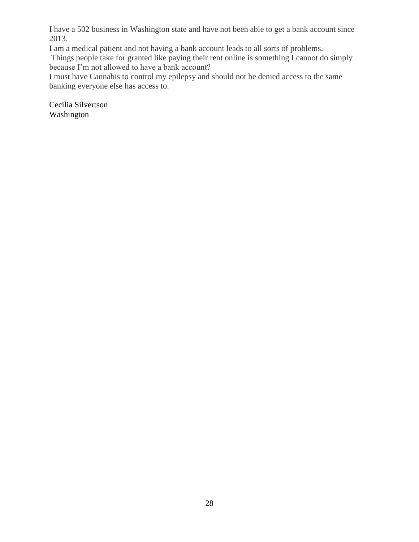I have a 502 business in Washington state and have not been able to get a bank account since 2013.

I am a medical patient and not having a bank account leads to all sorts of problems.

Things people take for granted like paying their rent online is something I cannot do simply because I'm not allowed to have a bank account?

I must have Cannabis to control my epilepsy and should not be denied access to the same banking everyone else has access to.

Cecilia Silvertson Washington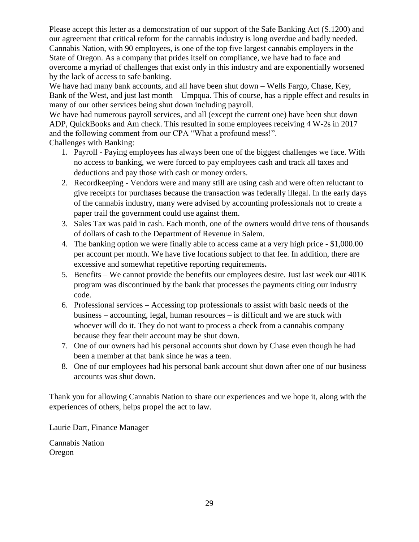Please accept this letter as a demonstration of our support of the Safe Banking Act (S.1200) and our agreement that critical reform for the cannabis industry is long overdue and badly needed. Cannabis Nation, with 90 employees, is one of the top five largest cannabis employers in the State of Oregon. As a company that prides itself on compliance, we have had to face and overcome a myriad of challenges that exist only in this industry and are exponentially worsened by the lack of access to safe banking.

We have had many bank accounts, and all have been shut down – Wells Fargo, Chase, Key, Bank of the West, and just last month – Umpqua. This of course, has a ripple effect and results in many of our other services being shut down including payroll.

We have had numerous payroll services, and all (except the current one) have been shut down – ADP, QuickBooks and Am check. This resulted in some employees receiving 4 W-2s in 2017 and the following comment from our CPA "What a profound mess!".

Challenges with Banking:

- 1. Payroll Paying employees has always been one of the biggest challenges we face. With no access to banking, we were forced to pay employees cash and track all taxes and deductions and pay those with cash or money orders.
- 2. Recordkeeping Vendors were and many still are using cash and were often reluctant to give receipts for purchases because the transaction was federally illegal. In the early days of the cannabis industry, many were advised by accounting professionals not to create a paper trail the government could use against them.
- 3. Sales Tax was paid in cash. Each month, one of the owners would drive tens of thousands of dollars of cash to the Department of Revenue in Salem.
- 4. The banking option we were finally able to access came at a very high price \$1,000.00 per account per month. We have five locations subject to that fee. In addition, there are excessive and somewhat repetitive reporting requirements**.**
- 5. Benefits We cannot provide the benefits our employees desire. Just last week our 401K program was discontinued by the bank that processes the payments citing our industry code.
- 6. Professional services Accessing top professionals to assist with basic needs of the business – accounting, legal, human resources – is difficult and we are stuck with whoever will do it. They do not want to process a check from a cannabis company because they fear their account may be shut down.
- 7. One of our owners had his personal accounts shut down by Chase even though he had been a member at that bank since he was a teen.
- 8. One of our employees had his personal bank account shut down after one of our business accounts was shut down.

Thank you for allowing Cannabis Nation to share our experiences and we hope it, along with the experiences of others, helps propel the act to law.

Laurie Dart, Finance Manager

Cannabis Nation Oregon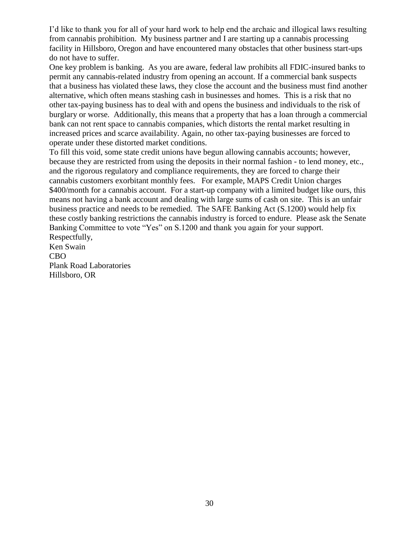I'd like to thank you for all of your hard work to help end the archaic and illogical laws resulting from cannabis prohibition. My business partner and I are starting up a cannabis processing facility in Hillsboro, Oregon and have encountered many obstacles that other business start-ups do not have to suffer.

One key problem is banking. As you are aware, federal law prohibits all FDIC-insured banks to permit any cannabis-related industry from opening an account. If a commercial bank suspects that a business has violated these laws, they close the account and the business must find another alternative, which often means stashing cash in businesses and homes. This is a risk that no other tax-paying business has to deal with and opens the business and individuals to the risk of burglary or worse. Additionally, this means that a property that has a loan through a commercial bank can not rent space to cannabis companies, which distorts the rental market resulting in increased prices and scarce availability. Again, no other tax-paying businesses are forced to operate under these distorted market conditions.

To fill this void, some state credit unions have begun allowing cannabis accounts; however, because they are restricted from using the deposits in their normal fashion - to lend money, etc., and the rigorous regulatory and compliance requirements, they are forced to charge their cannabis customers exorbitant monthly fees. For example, MAPS Credit Union charges \$400/month for a cannabis account. For a start-up company with a limited budget like ours, this means not having a bank account and dealing with large sums of cash on site. This is an unfair business practice and needs to be remedied. The SAFE Banking Act (S.1200) would help fix these costly banking restrictions the cannabis industry is forced to endure. Please ask the Senate Banking Committee to vote "Yes" on S.1200 and thank you again for your support. Respectfully,

Ken Swain CBO Plank Road Laboratories Hillsboro, OR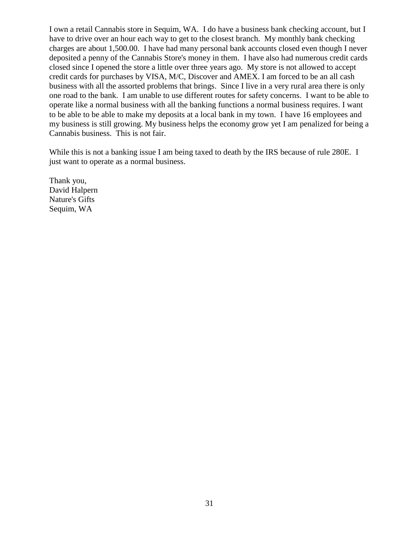I own a retail Cannabis store in Sequim, WA. I do have a business bank checking account, but I have to drive over an hour each way to get to the closest branch. My monthly bank checking charges are about 1,500.00. I have had many personal bank accounts closed even though I never deposited a penny of the Cannabis Store's money in them. I have also had numerous credit cards closed since I opened the store a little over three years ago. My store is not allowed to accept credit cards for purchases by VISA, M/C, Discover and AMEX. I am forced to be an all cash business with all the assorted problems that brings. Since I live in a very rural area there is only one road to the bank. I am unable to use different routes for safety concerns. I want to be able to operate like a normal business with all the banking functions a normal business requires. I want to be able to be able to make my deposits at a local bank in my town. I have 16 employees and my business is still growing. My business helps the economy grow yet I am penalized for being a Cannabis business. This is not fair.

While this is not a banking issue I am being taxed to death by the IRS because of rule 280E. I just want to operate as a normal business.

Thank you, David Halpern Nature's Gifts Sequim, WA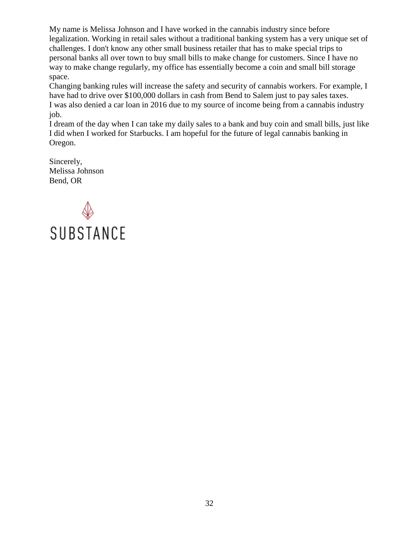My name is Melissa Johnson and I have worked in the cannabis industry since before legalization. Working in retail sales without a traditional banking system has a very unique set of challenges. I don't know any other small business retailer that has to make special trips to personal banks all over town to buy small bills to make change for customers. Since I have no way to make change regularly, my office has essentially become a coin and small bill storage space.

Changing banking rules will increase the safety and security of cannabis workers. For example, I have had to drive over \$100,000 dollars in cash from Bend to Salem just to pay sales taxes. I was also denied a car loan in 2016 due to my source of income being from a cannabis industry job.

I dream of the day when I can take my daily sales to a bank and buy coin and small bills, just like I did when I worked for Starbucks. I am hopeful for the future of legal cannabis banking in Oregon.

Sincerely, Melissa Johnson Bend, OR

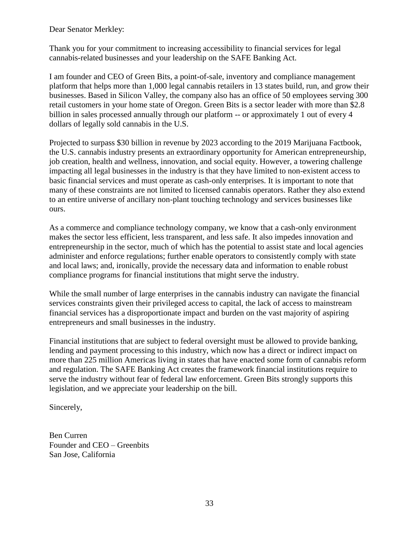Dear Senator Merkley:

Thank you for your commitment to increasing accessibility to financial services for legal cannabis-related businesses and your leadership on the SAFE Banking Act.

I am founder and CEO of Green Bits, a point-of-sale, inventory and compliance management platform that helps more than 1,000 legal cannabis retailers in 13 states build, run, and grow their businesses. Based in Silicon Valley, the company also has an office of 50 employees serving 300 retail customers in your home state of Oregon. Green Bits is a sector leader with more than \$2.8 billion in sales processed annually through our platform -- or approximately 1 out of every 4 dollars of legally sold cannabis in the U.S.

Projected to surpass \$30 billion in revenue by 2023 according to the 2019 Marijuana Factbook, the U.S. cannabis industry presents an extraordinary opportunity for American entrepreneurship, job creation, health and wellness, innovation, and social equity. However, a towering challenge impacting all legal businesses in the industry is that they have limited to non-existent access to basic financial services and must operate as cash-only enterprises. It is important to note that many of these constraints are not limited to licensed cannabis operators. Rather they also extend to an entire universe of ancillary non-plant touching technology and services businesses like ours.

As a commerce and compliance technology company, we know that a cash-only environment makes the sector less efficient, less transparent, and less safe. It also impedes innovation and entrepreneurship in the sector, much of which has the potential to assist state and local agencies administer and enforce regulations; further enable operators to consistently comply with state and local laws; and, ironically, provide the necessary data and information to enable robust compliance programs for financial institutions that might serve the industry.

While the small number of large enterprises in the cannabis industry can navigate the financial services constraints given their privileged access to capital, the lack of access to mainstream financial services has a disproportionate impact and burden on the vast majority of aspiring entrepreneurs and small businesses in the industry.

Financial institutions that are subject to federal oversight must be allowed to provide banking, lending and payment processing to this industry, which now has a direct or indirect impact on more than 225 million Americas living in states that have enacted some form of cannabis reform and regulation. The SAFE Banking Act creates the framework financial institutions require to serve the industry without fear of federal law enforcement. Green Bits strongly supports this legislation, and we appreciate your leadership on the bill.

Sincerely,

Ben Curren Founder and CEO – Greenbits San Jose, California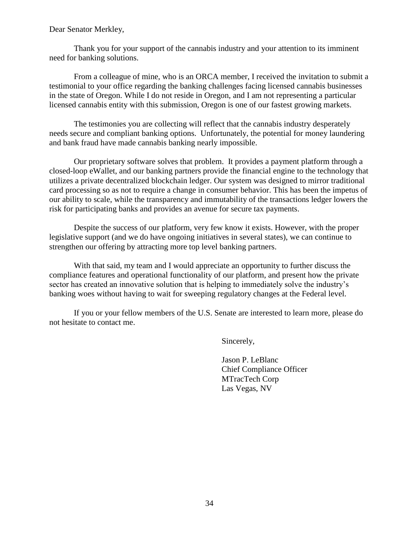#### Dear Senator Merkley,

Thank you for your support of the cannabis industry and your attention to its imminent need for banking solutions.

From a colleague of mine, who is an ORCA member, I received the invitation to submit a testimonial to your office regarding the banking challenges facing licensed cannabis businesses in the state of Oregon. While I do not reside in Oregon, and I am not representing a particular licensed cannabis entity with this submission, Oregon is one of our fastest growing markets.

The testimonies you are collecting will reflect that the cannabis industry desperately needs secure and compliant banking options. Unfortunately, the potential for money laundering and bank fraud have made cannabis banking nearly impossible.

Our proprietary software solves that problem. It provides a payment platform through a closed-loop eWallet, and our banking partners provide the financial engine to the technology that utilizes a private decentralized blockchain ledger. Our system was designed to mirror traditional card processing so as not to require a change in consumer behavior. This has been the impetus of our ability to scale, while the transparency and immutability of the transactions ledger lowers the risk for participating banks and provides an avenue for secure tax payments.

Despite the success of our platform, very few know it exists. However, with the proper legislative support (and we do have ongoing initiatives in several states), we can continue to strengthen our offering by attracting more top level banking partners.

With that said, my team and I would appreciate an opportunity to further discuss the compliance features and operational functionality of our platform, and present how the private sector has created an innovative solution that is helping to immediately solve the industry's banking woes without having to wait for sweeping regulatory changes at the Federal level.

If you or your fellow members of the U.S. Senate are interested to learn more, please do not hesitate to contact me.

Sincerely,

Jason P. LeBlanc Chief Compliance Officer MTracTech Corp Las Vegas, NV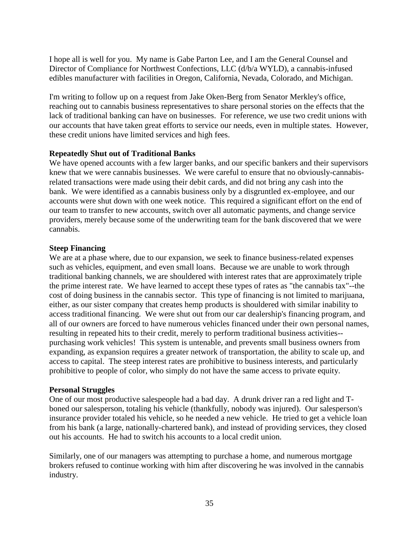I hope all is well for you. My name is Gabe Parton Lee, and I am the General Counsel and Director of Compliance for Northwest Confections, LLC (d/b/a WYLD), a cannabis-infused edibles manufacturer with facilities in Oregon, California, Nevada, Colorado, and Michigan.

I'm writing to follow up on a request from Jake Oken-Berg from Senator Merkley's office, reaching out to cannabis business representatives to share personal stories on the effects that the lack of traditional banking can have on businesses. For reference, we use two credit unions with our accounts that have taken great efforts to service our needs, even in multiple states. However, these credit unions have limited services and high fees.

#### **Repeatedly Shut out of Traditional Banks**

We have opened accounts with a few larger banks, and our specific bankers and their supervisors knew that we were cannabis businesses. We were careful to ensure that no obviously-cannabisrelated transactions were made using their debit cards, and did not bring any cash into the bank. We were identified as a cannabis business only by a disgruntled ex-employee, and our accounts were shut down with one week notice. This required a significant effort on the end of our team to transfer to new accounts, switch over all automatic payments, and change service providers, merely because some of the underwriting team for the bank discovered that we were cannabis.

#### **Steep Financing**

We are at a phase where, due to our expansion, we seek to finance business-related expenses such as vehicles, equipment, and even small loans. Because we are unable to work through traditional banking channels, we are shouldered with interest rates that are approximately triple the prime interest rate. We have learned to accept these types of rates as "the cannabis tax"--the cost of doing business in the cannabis sector. This type of financing is not limited to marijuana, either, as our sister company that creates hemp products is shouldered with similar inability to access traditional financing. We were shut out from our car dealership's financing program, and all of our owners are forced to have numerous vehicles financed under their own personal names, resulting in repeated hits to their credit, merely to perform traditional business activities- purchasing work vehicles! This system is untenable, and prevents small business owners from expanding, as expansion requires a greater network of transportation, the ability to scale up, and access to capital. The steep interest rates are prohibitive to business interests, and particularly prohibitive to people of color, who simply do not have the same access to private equity.

#### **Personal Struggles**

One of our most productive salespeople had a bad day. A drunk driver ran a red light and Tboned our salesperson, totaling his vehicle (thankfully, nobody was injured). Our salesperson's insurance provider totaled his vehicle, so he needed a new vehicle. He tried to get a vehicle loan from his bank (a large, nationally-chartered bank), and instead of providing services, they closed out his accounts. He had to switch his accounts to a local credit union.

Similarly, one of our managers was attempting to purchase a home, and numerous mortgage brokers refused to continue working with him after discovering he was involved in the cannabis industry.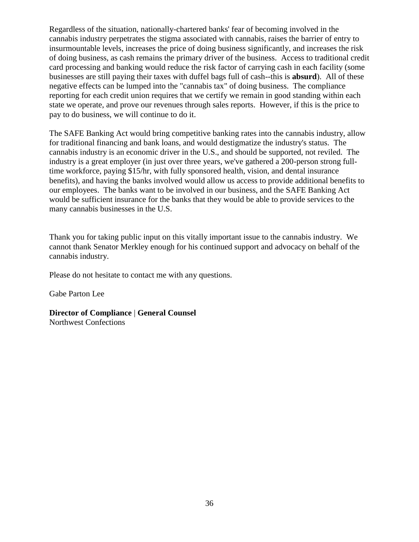Regardless of the situation, nationally-chartered banks' fear of becoming involved in the cannabis industry perpetrates the stigma associated with cannabis, raises the barrier of entry to insurmountable levels, increases the price of doing business significantly, and increases the risk of doing business, as cash remains the primary driver of the business. Access to traditional credit card processing and banking would reduce the risk factor of carrying cash in each facility (some businesses are still paying their taxes with duffel bags full of cash--this is **absurd**). All of these negative effects can be lumped into the "cannabis tax" of doing business. The compliance reporting for each credit union requires that we certify we remain in good standing within each state we operate, and prove our revenues through sales reports. However, if this is the price to pay to do business, we will continue to do it.

The SAFE Banking Act would bring competitive banking rates into the cannabis industry, allow for traditional financing and bank loans, and would destigmatize the industry's status. The cannabis industry is an economic driver in the U.S., and should be supported, not reviled. The industry is a great employer (in just over three years, we've gathered a 200-person strong fulltime workforce, paying \$15/hr, with fully sponsored health, vision, and dental insurance benefits), and having the banks involved would allow us access to provide additional benefits to our employees. The banks want to be involved in our business, and the SAFE Banking Act would be sufficient insurance for the banks that they would be able to provide services to the many cannabis businesses in the U.S.

Thank you for taking public input on this vitally important issue to the cannabis industry. We cannot thank Senator Merkley enough for his continued support and advocacy on behalf of the cannabis industry.

Please do not hesitate to contact me with any questions.

Gabe Parton Lee

**Director of Compliance** | **General Counsel** Northwest Confections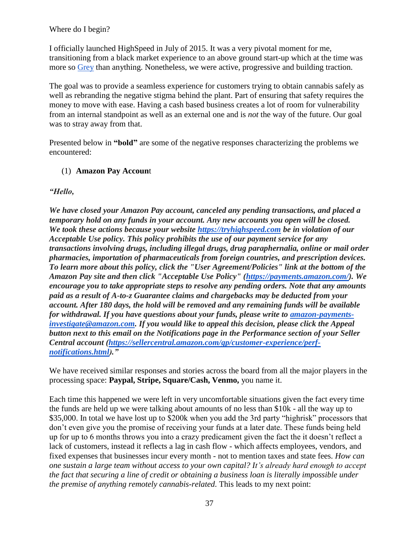## Where do I begin?

I officially launched HighSpeed in July of 2015. It was a very pivotal moment for me, transitioning from a black market experience to an above ground start-up which at the time was more so [Grey](https://www.washingtonpost.com/lifestyle/a-bottle-of-juice-for-55-how-one-start-up-is-testing-the-limits-of-dcs-marijuana-law/2016/04/26/eb789eac-07de-11e6-a12f-ea5aed7958dc_story.html?noredirect=on&utm_term=.95ba6ea14095) than anything. Nonetheless, we were active, progressive and building traction.

The goal was to provide a seamless experience for customers trying to obtain cannabis safely as well as rebranding the negative stigma behind the plant. Part of ensuring that safety requires the money to move with ease. Having a cash based business creates a lot of room for vulnerability from an internal standpoint as well as an external one and is *not* the way of the future. Our goal was to stray away from that.

Presented below in **"bold"** are some of the negative responses characterizing the problems we encountered:

## (1) **Amazon Pay Accoun**t

## *"Hello,*

*We have closed your Amazon Pay account, canceled any pending transactions, and placed a temporary hold on any funds in your account. Any new accounts you open will be closed. We took these actions because your website [https://tryhighspeed.com](https://tryhighspeed.commay/) be in violation of our Acceptable Use policy. This policy prohibits the use of our payment service for any transactions involving drugs, including illegal drugs, drug paraphernalia, online or mail order pharmacies, importation of pharmaceuticals from foreign countries, and prescription devices. To learn more about this policy, click the "User Agreement/Policies" link at the bottom of the Amazon Pay site and then click "Acceptable Use Policy" [\(https://payments.amazon.com/\)](https://payments.amazon.com/). We encourage you to take appropriate steps to resolve any pending orders. Note that any amounts paid as a result of A-to-z Guarantee claims and chargebacks may be deducted from your account. After 180 days, the hold will be removed and any remaining funds will be available for withdrawal. If you have questions about your funds, please write to [amazon-payments](mailto:amazon-payments-investigate@amazon.com)[investigate@amazon.com.](mailto:amazon-payments-investigate@amazon.com) If you would like to appeal this decision, please click the Appeal button next to this email on the Notifications page in the Performance section of your Seller Central account [\(https://sellercentral.amazon.com/gp/customer-experience/perf](https://sellercentral.amazon.com/gp/customer-experience/perf-notifications.html)[notifications.html\)](https://sellercentral.amazon.com/gp/customer-experience/perf-notifications.html)."*

We have received similar responses and stories across the board from all the major players in the processing space: **Paypal, Stripe, Square/Cash, Venmo,** you name it.

Each time this happened we were left in very uncomfortable situations given the fact every time the funds are held up we were talking about amounts of no less than \$10k - all the way up to \$35,000. In total we have lost up to \$200k when you add the 3rd party "highrisk" processors that don't even give you the promise of receiving your funds at a later date. These funds being held up for up to 6 months throws you into a crazy predicament given the fact the it doesn't reflect a lack of customers, instead it reflects a lag in cash flow - which affects employees, vendors, and fixed expenses that businesses incur every month - not to mention taxes and state fees. *How can one sustain a large team without access to your own capital? It's already hard enough to accept the fact that securing a line of credit or obtaining a business loan is literally impossible under the premise of anything remotely cannabis-related.* This leads to my next point: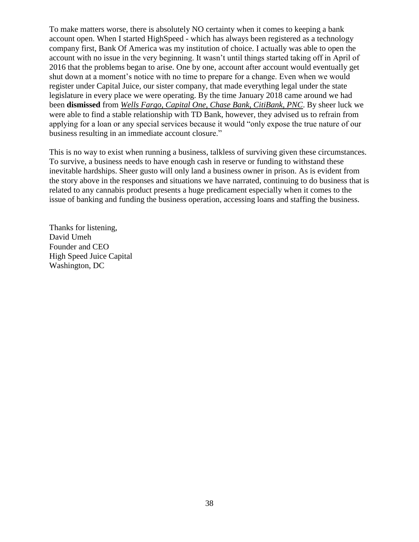To make matters worse, there is absolutely NO certainty when it comes to keeping a bank account open. When I started HighSpeed - which has always been registered as a technology company first, Bank Of America was my institution of choice. I actually was able to open the account with no issue in the very beginning. It wasn't until things started taking off in April of 2016 that the problems began to arise. One by one, account after account would eventually get shut down at a moment's notice with no time to prepare for a change. Even when we would register under Capital Juice, our sister company, that made everything legal under the state legislature in every place we were operating. By the time January 2018 came around we had been **dismissed** from *Wells Fargo, Capital One, Chase Bank, CitiBank, PNC*. By sheer luck we were able to find a stable relationship with TD Bank, however, they advised us to refrain from applying for a loan or any special services because it would "only expose the true nature of our business resulting in an immediate account closure."

This is no way to exist when running a business, talkless of surviving given these circumstances. To survive, a business needs to have enough cash in reserve or funding to withstand these inevitable hardships. Sheer gusto will only land a business owner in prison. As is evident from the story above in the responses and situations we have narrated, continuing to do business that is related to any cannabis product presents a huge predicament especially when it comes to the issue of banking and funding the business operation, accessing loans and staffing the business.

Thanks for listening, David Umeh Founder and CEO High Speed Juice Capital Washington, DC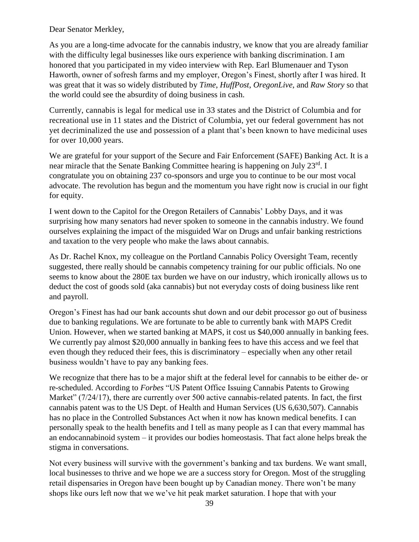Dear Senator Merkley,

As you are a long-time advocate for the cannabis industry, we know that you are already familiar with the difficulty legal businesses like ours experience with banking discrimination. I am honored that you participated in my video interview with Rep. Earl Blumenauer and Tyson Haworth, owner of sofresh farms and my employer, Oregon's Finest, shortly after I was hired. It was great that it was so widely distributed by *Time*, *HuffPost*, *OregonLive*, and *Raw Story* so that the world could see the absurdity of doing business in cash.

Currently, cannabis is legal for medical use in 33 states and the District of Columbia and for recreational use in 11 states and the District of Columbia, yet our federal government has not yet decriminalized the use and possession of a plant that's been known to have medicinal uses for over 10,000 years.

We are grateful for your support of the Secure and Fair Enforcement (SAFE) Banking Act. It is a near miracle that the Senate Banking Committee hearing is happening on July 23rd. I congratulate you on obtaining 237 co-sponsors and urge you to continue to be our most vocal advocate. The revolution has begun and the momentum you have right now is crucial in our fight for equity.

I went down to the Capitol for the Oregon Retailers of Cannabis' Lobby Days, and it was surprising how many senators had never spoken to someone in the cannabis industry. We found ourselves explaining the impact of the misguided War on Drugs and unfair banking restrictions and taxation to the very people who make the laws about cannabis.

As Dr. Rachel Knox, my colleague on the Portland Cannabis Policy Oversight Team, recently suggested, there really should be cannabis competency training for our public officials. No one seems to know about the 280E tax burden we have on our industry, which ironically allows us to deduct the cost of goods sold (aka cannabis) but not everyday costs of doing business like rent and payroll.

Oregon's Finest has had our bank accounts shut down and our debit processor go out of business due to banking regulations. We are fortunate to be able to currently bank with MAPS Credit Union. However, when we started banking at MAPS, it cost us \$40,000 annually in banking fees. We currently pay almost \$20,000 annually in banking fees to have this access and we feel that even though they reduced their fees, this is discriminatory – especially when any other retail business wouldn't have to pay any banking fees.

We recognize that there has to be a major shift at the federal level for cannabis to be either de- or re-scheduled. According to *Forbes* "US Patent Office Issuing Cannabis Patents to Growing Market" (7/24/17), there are currently over 500 active cannabis-related patents. In fact, the first cannabis patent was to the US Dept. of Health and Human Services (US 6,630,507). Cannabis has no place in the Controlled Substances Act when it now has known medical benefits. I can personally speak to the health benefits and I tell as many people as I can that every mammal has an endocannabinoid system – it provides our bodies homeostasis. That fact alone helps break the stigma in conversations.

Not every business will survive with the government's banking and tax burdens. We want small, local businesses to thrive and we hope we are a success story for Oregon. Most of the struggling retail dispensaries in Oregon have been bought up by Canadian money. There won't be many shops like ours left now that we we've hit peak market saturation. I hope that with your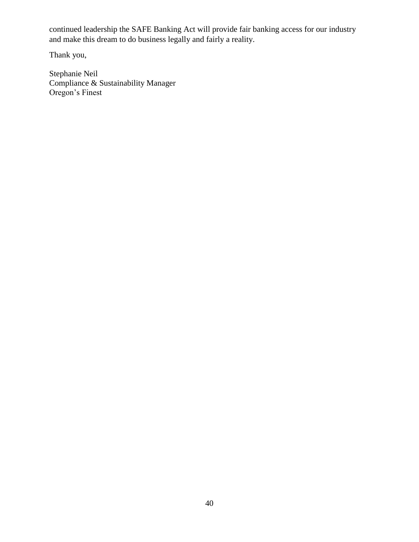continued leadership the SAFE Banking Act will provide fair banking access for our industry and make this dream to do business legally and fairly a reality.

Thank you,

Stephanie Neil Compliance & Sustainability Manager Oregon's Finest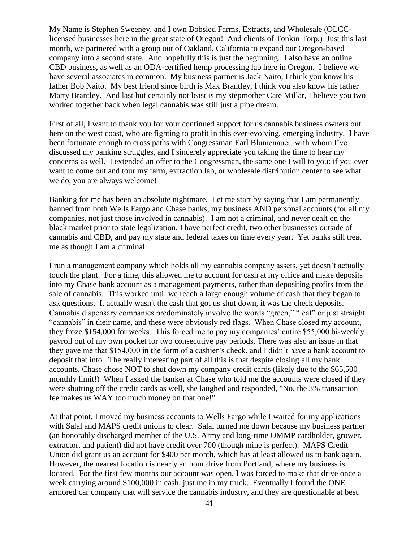My Name is Stephen Sweeney, and I own Bobsled Farms, Extracts, and Wholesale (OLCClicensed businesses here in the great state of Oregon! And clients of Tonkin Torp.) Just this last month, we partnered with a group out of Oakland, California to expand our Oregon-based company into a second state. And hopefully this is just the beginning. I also have an online CBD business, as well as an ODA-certified hemp processing lab here in Oregon. I believe we have several associates in common. My business partner is Jack Naito, I think you know his father Bob Naito. My best friend since birth is Max Brantley, I think you also know his father Marty Brantley. And last but certainly not least is my stepmother Cate Millar, I believe you two worked together back when legal cannabis was still just a pipe dream.

First of all, I want to thank you for your continued support for us cannabis business owners out here on the west coast, who are fighting to profit in this ever-evolving, emerging industry. I have been fortunate enough to cross paths with Congressman Earl Blumenauer, with whom I've discussed my banking struggles, and I sincerely appreciate you taking the time to hear my concerns as well. I extended an offer to the Congressman, the same one I will to you: if you ever want to come out and tour my farm, extraction lab, or wholesale distribution center to see what we do, you are always welcome!

Banking for me has been an absolute nightmare. Let me start by saying that I am permanently banned from both Wells Fargo and Chase banks, my business AND personal accounts (for all my companies, not just those involved in cannabis). I am not a criminal, and never dealt on the black market prior to state legalization. I have perfect credit, two other businesses outside of cannabis and CBD, and pay my state and federal taxes on time every year. Yet banks still treat me as though I am a criminal.

I run a management company which holds all my cannabis company assets, yet doesn't actually touch the plant. For a time, this allowed me to account for cash at my office and make deposits into my Chase bank account as a management payments, rather than depositing profits from the sale of cannabis. This worked until we reach a large enough volume of cash that they began to ask questions. It actually wasn't the cash that got us shut down, it was the check deposits. Cannabis dispensary companies predominately involve the words "green," "leaf" or just straight "cannabis" in their name, and these were obviously red flags. When Chase closed my account, they froze \$154,000 for weeks. This forced me to pay my companies' entire \$55,000 bi-weekly payroll out of my own pocket for two consecutive pay periods. There was also an issue in that they gave me that \$154,000 in the form of a cashier's check, and I didn't have a bank account to deposit that into. The really interesting part of all this is that despite closing all my bank accounts, Chase chose NOT to shut down my company credit cards (likely due to the \$65,500 monthly limit!) When I asked the banker at Chase who told me the accounts were closed if they were shutting off the credit cards as well, she laughed and responded, "No, the 3% transaction fee makes us WAY too much money on that one!"

At that point, I moved my business accounts to Wells Fargo while I waited for my applications with Salal and MAPS credit unions to clear. Salal turned me down because my business partner (an honorably discharged member of the U.S. Army and long-time OMMP cardholder, grower, extractor, and patient) did not have credit over 700 (though mine is perfect). MAPS Credit Union did grant us an account for \$400 per month, which has at least allowed us to bank again. However, the nearest location is nearly an hour drive from Portland, where my business is located. For the first few months our account was open, I was forced to make that drive once a week carrying around \$100,000 in cash, just me in my truck. Eventually I found the ONE armored car company that will service the cannabis industry, and they are questionable at best.